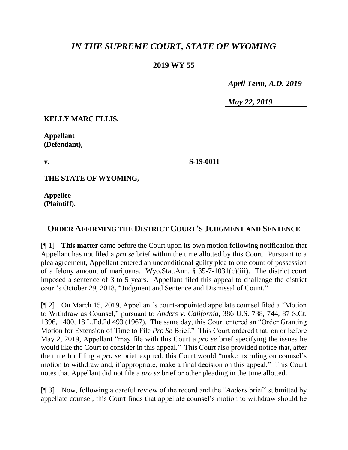## *IN THE SUPREME COURT, STATE OF WYOMING*

## **2019 WY 55**

 *April Term, A.D. 2019*

*May 22, 2019*

**KELLY MARC ELLIS,**

**Appellant (Defendant),**

**v.**

**S-19-0011**

**THE STATE OF WYOMING,**

**Appellee (Plaintiff).**

## **ORDER AFFIRMING THE DISTRICT COURT'S JUDGMENT AND SENTENCE**

[¶ 1] **This matter** came before the Court upon its own motion following notification that Appellant has not filed a *pro se* brief within the time allotted by this Court. Pursuant to a plea agreement, Appellant entered an unconditional guilty plea to one count of possession of a felony amount of marijuana. Wyo.Stat.Ann. § 35-7-1031(c)(iii). The district court imposed a sentence of 3 to 5 years. Appellant filed this appeal to challenge the district court's October 29, 2018, "Judgment and Sentence and Dismissal of Count."

[¶ 2] On March 15, 2019, Appellant's court-appointed appellate counsel filed a "Motion to Withdraw as Counsel," pursuant to *Anders v. California*, 386 U.S. 738, 744, 87 S.Ct. 1396, 1400, 18 L.Ed.2d 493 (1967). The same day, this Court entered an "Order Granting Motion for Extension of Time to File *Pro Se* Brief." This Court ordered that, on or before May 2, 2019, Appellant "may file with this Court a *pro se* brief specifying the issues he would like the Court to consider in this appeal." This Court also provided notice that, after the time for filing a *pro se* brief expired, this Court would "make its ruling on counsel's motion to withdraw and, if appropriate, make a final decision on this appeal." This Court notes that Appellant did not file a *pro se* brief or other pleading in the time allotted.

[¶ 3] Now, following a careful review of the record and the "*Anders* brief" submitted by appellate counsel, this Court finds that appellate counsel's motion to withdraw should be